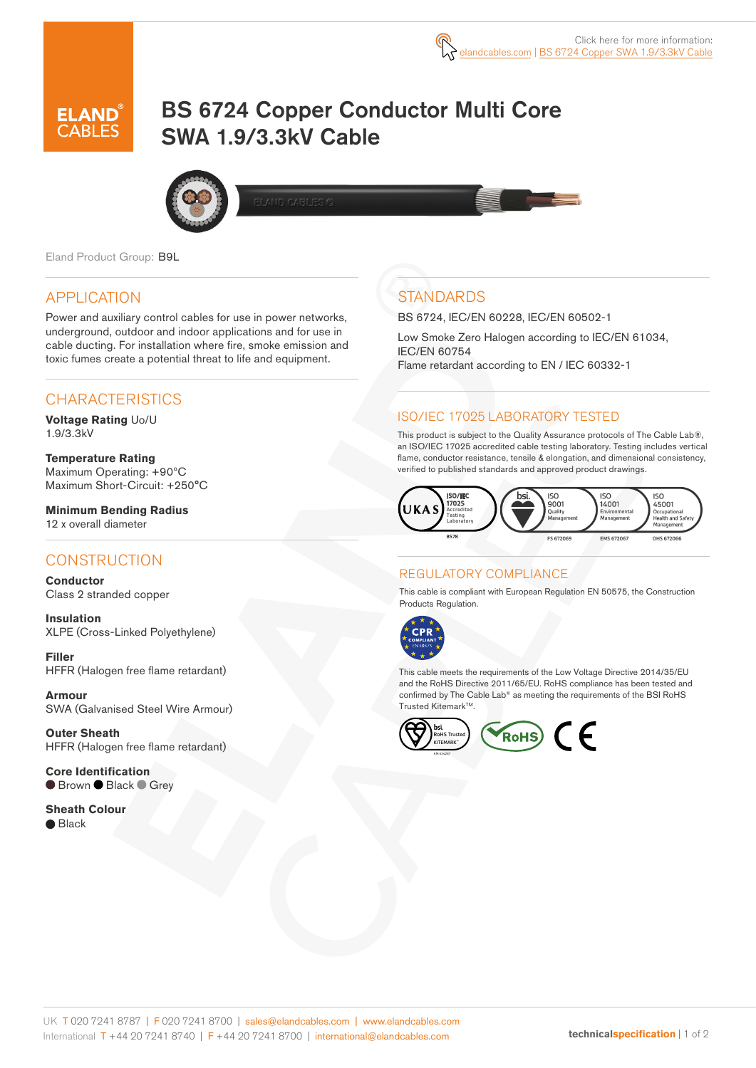# BS 6724 Copper Conductor Multi Core SWA 1.9/3.3kV Cable



Eland Product Group: B9L

## APPLICATION

Power and auxiliary control cables for use in power networks, underground, outdoor and indoor applications and for use in cable ducting. For installation where fire, smoke emission and toxic fumes create a potential threat to life and equipment.

## CHARACTERISTICS

**Voltage Rating** Uo/U 1.9/3.3kV

**Temperature Rating** Maximum Operating: +90ºC Maximum Short-Circuit: +250°C

**Minimum Bending Radius**  12 x overall diameter

## **CONSTRUCTION**

**Conductor** Class 2 stranded copper

**Insulation** XLPE (Cross-Linked Polyethylene)

**Filler**  HFFR (Halogen free flame retardant)

**Armour** SWA (Galvanised Steel Wire Armour)

**Outer Sheath** HFFR (Halogen free flame retardant)

**Core Identification** ● Brown ● Black ● Grey

**Sheath Colour** ● Black

## **STANDARDS**

BS 6724, IEC/EN 60228, IEC/EN 60502-1

Low Smoke Zero Halogen according to IEC/EN 61034, IEC/EN 60754 Flame retardant according to EN / IEC 60332-1

### ISO/IEC 17025 LABORATORY TESTED

This product is subject to the Quality Assurance protocols of The Cable Lab®, an ISO/IEC 17025 accredited cable testing laboratory. Testing includes vertical flame, conductor resistance, tensile & elongation, and dimensional consistency, verified to published standards and approved product drawings.



#### REGULATORY COMPLIANCE

This cable is compliant with European Regulation EN 50575, the Construction Products Regulation.



This cable meets the requirements of the Low Voltage Directive 2014/35/EU and the RoHS Directive 2011/65/EU. RoHS compliance has been tested and confirmed by The Cable Lab® as meeting the requirements of the BSI RoHS Trusted KitemarkTM.